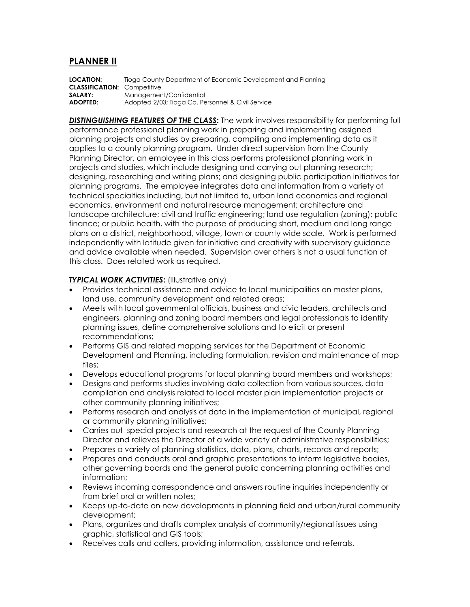## **PLANNER II**

**LOCATION:** Tioga County Department of Economic Development and Planning **CLASSIFICATION:** Competitive **SALARY:** Management/Confidential **ADOPTED:** Adopted 2/03; Tioga Co. Personnel & Civil Service

*DISTINGUISHING FEATURES OF THE CLASS***:** The work involves responsibility for performing full performance professional planning work in preparing and implementing assigned planning projects and studies by preparing, compiling and implementing data as it applies to a county planning program. Under direct supervision from the County Planning Director, an employee in this class performs professional planning work in projects and studies, which include designing and carrying out planning research; designing, researching and writing plans; and designing public participation initiatives for planning programs. The employee integrates data and information from a variety of technical specialties including, but not limited to, urban land economics and regional economics, environment and natural resource management; architecture and landscape architecture; civil and traffic engineering; land use regulation (zoning); public finance; or public health, with the purpose of producing short, medium and long range plans on a district, neighborhood, village, town or county wide scale. Work is performed independently with latitude given for initiative and creativity with supervisory guidance and advice available when needed. Supervision over others is not a usual function of this class. Does related work as required.

## **TYPICAL WORK ACTIVITIES:** (Illustrative only)

- Provides technical assistance and advice to local municipalities on master plans, land use, community development and related areas;
- Meets with local governmental officials, business and civic leaders, architects and engineers, planning and zoning board members and legal professionals to identify planning issues, define comprehensive solutions and to elicit or present recommendations;
- Performs GIS and related mapping services for the Department of Economic Development and Planning, including formulation, revision and maintenance of map files;
- Develops educational programs for local planning board members and workshops;
- Designs and performs studies involving data collection from various sources, data compilation and analysis related to local master plan implementation projects or other community planning initiatives;
- Performs research and analysis of data in the implementation of municipal, regional or community planning initiatives;
- Carries out special projects and research at the request of the County Planning Director and relieves the Director of a wide variety of administrative responsibilities;
- Prepares a variety of planning statistics, data, plans, charts, records and reports;
- Prepares and conducts oral and graphic presentations to inform legislative bodies, other governing boards and the general public concerning planning activities and information;
- Reviews incoming correspondence and answers routine inquiries independently or from brief oral or written notes;
- Keeps up-to-date on new developments in planning field and urban/rural community development;
- Plans, organizes and drafts complex analysis of community/regional issues using graphic, statistical and GIS tools;
- Receives calls and callers, providing information, assistance and referrals.